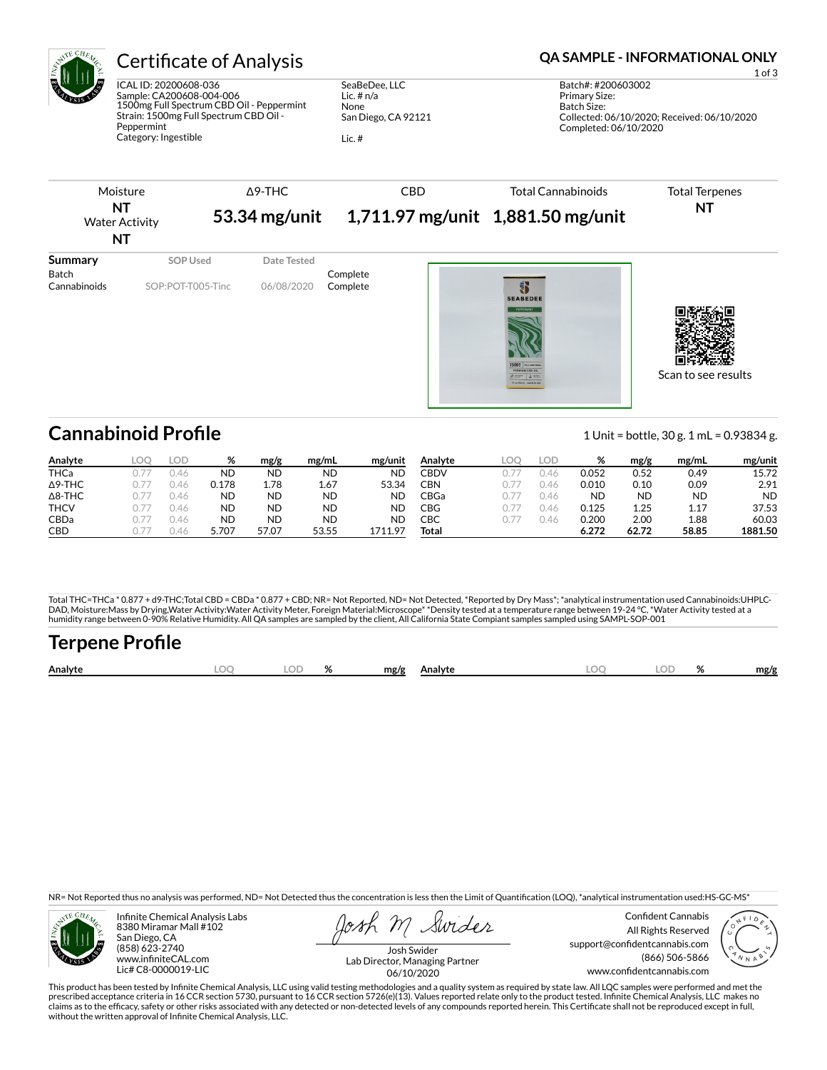

# Certificate of Analysis **Certificate of Analysis QA SAMPLE - INFORMATIONAL ONLY**

ICAL ID: 20200608-036 Sample: CA200608-004-006 1500mg Full Spectrum CBD Oil - Peppermint Strain: 1500mg Full Spectrum CBD Oil - Peppermint Category: Ingestible

SeaBeDee, LLC Lic. # n/a None San Diego, CA 92121

Lic. #



| Analyte        | LOU: | LUD. | %         | mg/g  | mg/mL     | mg/unit | Analyte | LOD      | ℅     | mg/g      | mg/mL     | mg/unit   |
|----------------|------|------|-----------|-------|-----------|---------|---------|----------|-------|-----------|-----------|-----------|
| <b>THCa</b>    |      | J.46 | ΝD        | ND    | <b>ND</b> | ΝD      | CBDV    | 41       | 0.052 | 0.52      | 0.49      | 15.72     |
| $\Delta$ 9-THC |      | J.46 | ว.178     | 1.78  | 1.67      | 53.34   | CBN     | $\Delta$ | 0.010 | 0.10      | 0.09      | 2.91      |
| $\Delta$ 8-THC |      | J.4r | ND        | ND    | <b>ND</b> | ND      | ∩BGa    | $\Delta$ | ND    | <b>ND</b> | <b>ND</b> | <b>ND</b> |
| <b>THCV</b>    |      | J.46 | ND        | ND    | <b>ND</b> | ND      | CBG     | $\Delta$ | 0.125 | 1.25      | 1.17      | 37.53     |
| CBDa           |      | J.46 | <b>ND</b> | ND    | <b>ND</b> | ND      | СВС     | 41       | 0.200 | 2.00      | 1.88      | 60.03     |
| <b>CBD</b>     |      | J.4ŕ | 5.707     | 57.07 | 53.55     | 1711.97 | Total   |          | 6.272 | 62.72     | 58.85     | 1881.50   |

Total THC=THCa \* 0.877 + d9-THC;Total CBD = CBDa \* 0.877 + CBD; NR= Not Reported, ND= Not Detected, \*Reported by Dry Mass\*; \*analytical instrumentation used Cannabinoids:UHPLC-DAD, Moisture:Mass by Drying,Water Activity:Water Activity Meter, Foreign Material:Microscope\* \*Density tested at a temperature range between 19-24 °C, \*Water Activity tested at a<br>humidity range between 0-90% Relative Humi

# Terpene Profile

| Analyte | $\sim$ | $\mathbf{a}$ | mg/g | Analyte | м | o/<br>$\overline{\phantom{a}}$ | mg/g |
|---------|--------|--------------|------|---------|---|--------------------------------|------|
|         |        |              |      |         |   |                                |      |

NR= Not Reported thus no analysis was performed, ND= Not Detected thus the concentration is less then the Limit of Quantification (LOQ), \*analytical instrumentation used:HS-GC-MS\*



Infinite Chemical Analysis Labs 8380 Miramar Mall #102 San Diego, CA (858) 623-2740 www.infiniteCAL.com Lic# C8-0000019-LIC

Swides

Confident Cannabis All Rights Reserved support@confidentcannabis.com (866) 506-5866 www.confidentcannabis.com



Josh Swider Lab Director, Managing Partner 06/10/2020

This product has been tested by Infinite Chemical Analysis, LLC using valid testing methodologies and a quality system as required by state law. All LQC samples were performed and met the prescribed acceptance criteria in 16 CCR section 5730, pursuant to 16 CCR section 5726(e)(13). Values reported relate only to the product tested. Infinite Chemical Analysis, LLC makes no<br>claims as to the efficacy, safety o without the written approval of Infinite Chemical Analysis, LLC.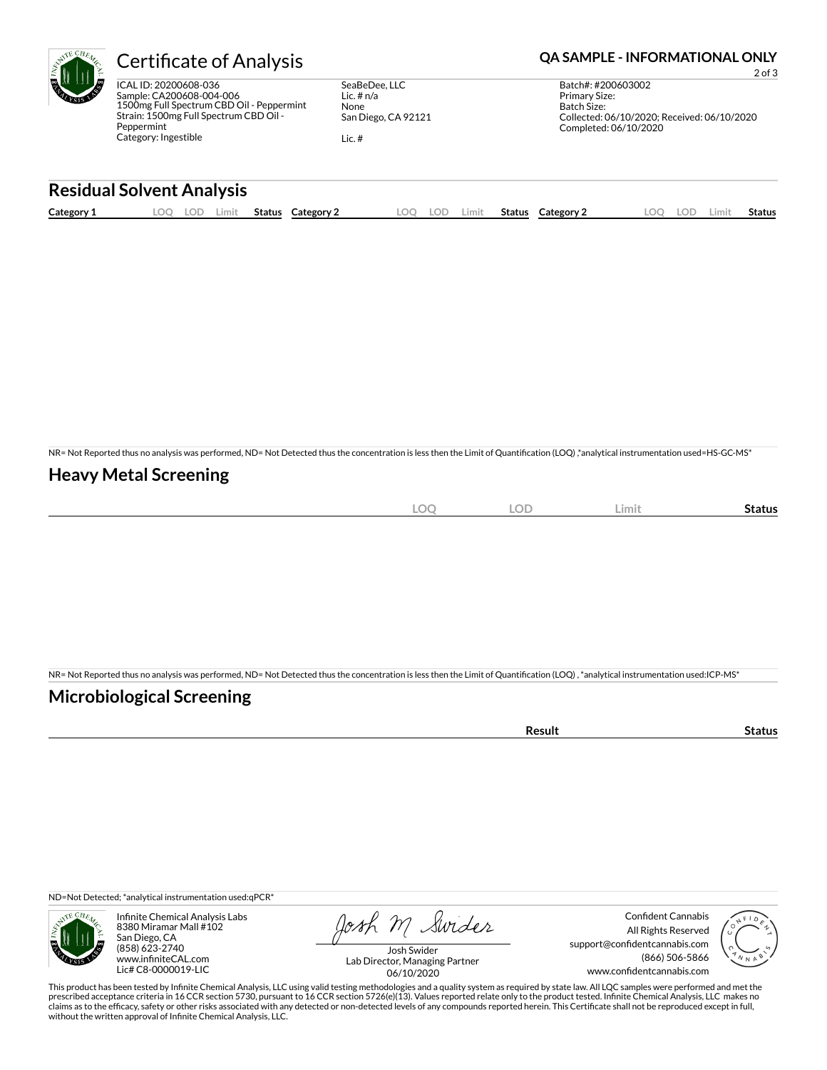

SeaBeDee, LLC Lic. # n/a None San Diego, CA 92121

Lic. #

## Certificate of Analysis **Certificate of Analysis QA SAMPLE - INFORMATIONAL ONLY**

2 of 3 Batch#: #200603002 Primary Size: Batch Size: Collected: 06/10/2020; Received: 06/10/2020 Completed: 06/10/2020

## **Residual Solvent Analysis**

|--|

NR= Not Reported thus no analysis was performed, ND= Not Detected thus the concentration is less then the Limit of Quantification (LOQ),\*analytical instrumentation used=HS-GC-MS\*

### **Heavy Metal Screening**

| <b>LOC</b> | <b>LOD</b> | Limit | Status |
|------------|------------|-------|--------|
|            |            |       |        |

NR= Not Reported thus no analysis was performed, ND= Not Detected thus the concentration is less then the Limit of Quantification (LOQ), \*analytical instrumentation used:ICP-MS\*

## **Microbiological Screening**

| . |  |
|---|--|
|   |  |

ND=Not Detected; \*analytical instrumentation used:qPCR\*



Infinite Chemical Analysis Labs 8380 Miramar Mall #102 San Diego, CA (858) 623-2740 www.infiniteCAL.com Lic# C8-0000019-LIC

Josh M Swider

Confident Cannabis All Rights Reserved support@confidentcannabis.com (866) 506-5866 www.confidentcannabis.com



Josh Swider Lab Director, Managing Partner 06/10/2020

This product has been tested by Infinite Chemical Analysis, LLC using valid testing methodologies and a quality system as required by state law. All LQC samples were performed and met the prescribed acceptance criteria in 16 CCR section 5730, pursuant to 16 CCR section 5726(e)(13). Values reported relate only to the product tested. Infinite Chemical Analysis, LLC makes no<br>claims as to the efficacy, safety o without the written approval of Infinite Chemical Analysis, LLC.